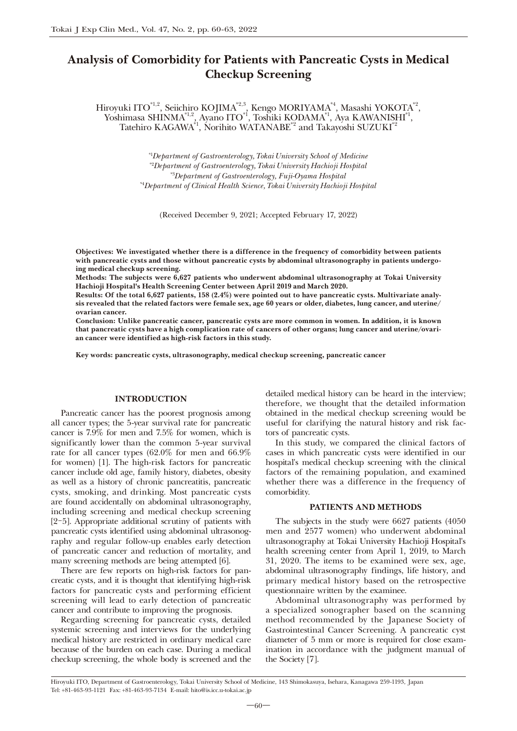# Analysis of Comorbidity for Patients with Pancreatic Cysts in Medical Checkup Screening

Hiroyuki ITO $^{*1,2}$ , Seiichiro KOJIMA $^{*2,3}$ , Kengo MORIYAMA $^{*4}$ , Masashi YOKOTA $^{*2}$ , Yoshimasa SHINMA<sup>\*1,2</sup>, Ayano ITO<sup>\*1</sup>, Toshiki KODAMA<sup>\*1</sup>, Aya KAWANISHI<sup>\*1</sup>, Tatehiro KAGAWA<sup>\*1</sup>, Norihito WATANABE<sup>\*2</sup> and Takayoshi SUZUKI<sup>\*2</sup>

> *\**1 *Department of Gastroenterology, Tokai University School of Medicine \**2 *Department of Gastroenterology, Tokai University Hachioji Hospital \**3 *Department of Gastroenterology, Fuji-Oyama Hospital \**4 *Department of Clinical Health Science, Tokai University Hachioji Hospital*

(Received December 9, 2021; Accepted February 17, 2022)

Objectives: We investigated whether there is a difference in the frequency of comorbidity between patients with pancreatic cysts and those without pancreatic cysts by abdominal ultrasonography in patients undergoing medical checkup screening.

Methods: The subjects were 6,627 patients who underwent abdominal ultrasonography at Tokai University Hachioji Hospital's Health Screening Center between April 2019 and March 2020.

Results: Of the total 6,627 patients, 158 (2.4%) were pointed out to have pancreatic cysts. Multivariate analysis revealed that the related factors were female sex, age 60 years or older, diabetes, lung cancer, and uterine/ ovarian cancer.

Conclusion: Unlike pancreatic cancer, pancreatic cysts are more common in women. In addition, it is known that pancreatic cysts have a high complication rate of cancers of other organs; lung cancer and uterine/ovarian cancer were identified as high-risk factors in this study.

Key words: pancreatic cysts, ultrasonography, medical checkup screening, pancreatic cancer

# INTRODUCTION

Pancreatic cancer has the poorest prognosis among all cancer types; the 5-year survival rate for pancreatic cancer is 7.9% for men and 7.5% for women, which is significantly lower than the common 5-year survival rate for all cancer types (62.0% for men and 66.9% for women) [1]. The high-risk factors for pancreatic cancer include old age, family history, diabetes, obesity as well as a history of chronic pancreatitis, pancreatic cysts, smoking, and drinking. Most pancreatic cysts are found accidentally on abdominal ultrasonography, including screening and medical checkup screening [2-5]. Appropriate additional scrutiny of patients with pancreatic cysts identified using abdominal ultrasonography and regular follow-up enables early detection of pancreatic cancer and reduction of mortality, and many screening methods are being attempted [6].

There are few reports on high-risk factors for pancreatic cysts, and it is thought that identifying high-risk factors for pancreatic cysts and performing efficient screening will lead to early detection of pancreatic cancer and contribute to improving the prognosis.

Regarding screening for pancreatic cysts, detailed systemic screening and interviews for the underlying medical history are restricted in ordinary medical care because of the burden on each case. During a medical checkup screening, the whole body is screened and the

detailed medical history can be heard in the interview; therefore, we thought that the detailed information obtained in the medical checkup screening would be useful for clarifying the natural history and risk factors of pancreatic cysts.

In this study, we compared the clinical factors of cases in which pancreatic cysts were identified in our hospital's medical checkup screening with the clinical factors of the remaining population, and examined whether there was a difference in the frequency of comorbidity.

## PATIENTS AND METHODS

The subjects in the study were 6627 patients (4050 men and 2577 women) who underwent abdominal ultrasonography at Tokai University Hachioji Hospital's health screening center from April 1, 2019, to March 31, 2020. The items to be examined were sex, age, abdominal ultrasonography findings, life history, and primary medical history based on the retrospective questionnaire written by the examinee.

Abdominal ultrasonography was performed by a specialized sonographer based on the scanning method recommended by the Japanese Society of Gastrointestinal Cancer Screening. A pancreatic cyst diameter of 5 mm or more is required for close examination in accordance with the judgment manual of the Society [7].

Hiroyuki ITO, Department of Gastroenterology, Tokai University School of Medicine, 143 Shimokasuya, Isehara, Kanagawa 259-1193, Japan Tel: +81-463-93-1121 Fax: +81-463-93-7134 E-mail: hito@is.icc.u-tokai.ac.jp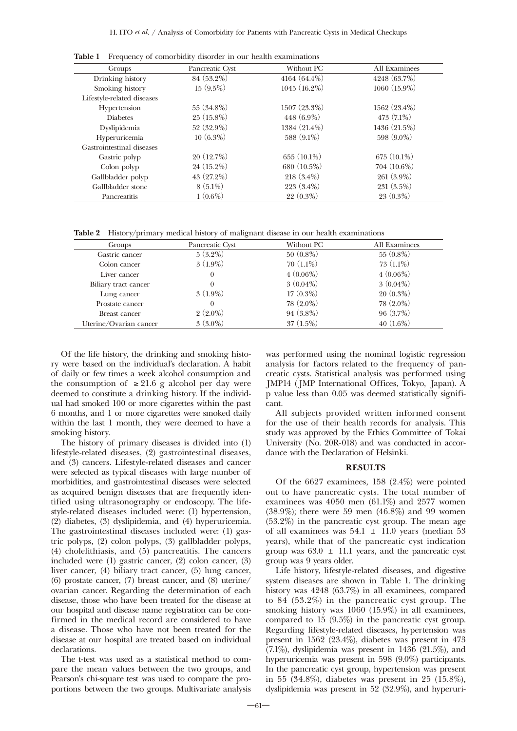| Groups                     | Pancreatic Cyst | Without PC     | All Examinees  |
|----------------------------|-----------------|----------------|----------------|
| Drinking history           | 84 (53.2%)      | $4164(64.4\%)$ | 4248 (63.7%)   |
| Smoking history            | $15(9.5\%)$     | $1045(16.2\%)$ | 1060 (15.9%)   |
| Lifestyle-related diseases |                 |                |                |
| Hypertension               | $55(34.8\%)$    | $1507(23.3\%)$ | $1562(23.4\%)$ |
| <b>Diabetes</b>            | $25(15.8\%)$    | 448 (6.9%)     | 473 (7.1%)     |
| Dyslipidemia               | $52(32.9\%)$    | $1384(21.4\%)$ | 1436(21.5%)    |
| Hyperuricemia              | $10(6.3\%)$     | 588 (9.1%)     | 598 (9.0%)     |
| Gastrointestinal diseases  |                 |                |                |
| Gastric polyp              | $20(12.7\%)$    | $655(10.1\%)$  | $675(10.1\%)$  |
| Colon polyp                | $24(15.2\%)$    | 680 (10.5%)    | $704(10.6\%)$  |
| Gallbladder polyp          | 43 (27.2%)      | $218(3.4\%)$   | $261(3.9\%)$   |
| Gallbladder stone          | $8(5.1\%)$      | $223(3.4\%)$   | $231(3.5\%)$   |
| Pancreatitis               | $1(0.6\%)$      | 22 (0.3%)      | $23(0.3\%)$    |

Table 1 Frequency of comorbidity disorder in our health examinations

Table 2 History/primary medical history of malignant disease in our health examinations

| <b>Groups</b>          | Pancreatic Cyst | Without PC  | All Examinees |
|------------------------|-----------------|-------------|---------------|
| Gastric cancer         | $5(3.2\%)$      | $50(0.8\%)$ | $55(0.8\%)$   |
| Colon cancer           | $3(1.9\%)$      | $70(1.1\%)$ | $73(1.1\%)$   |
| Liver cancer           | 0               | $4(0.06\%)$ | $4(0.06\%)$   |
| Biliary tract cancer   | 0               | $3(0.04\%)$ | $3(0.04\%)$   |
| Lung cancer            | $3(1.9\%)$      | $17(0.3\%)$ | $20(0.3\%)$   |
| Prostate cancer        | 0               | $78(2.0\%)$ | $78(2.0\%)$   |
| Breast cancer          | $2(2.0\%)$      | $94(3.8\%)$ | 96(3.7%)      |
| Uterine/Ovarian cancer | $3(3.0\%)$      | $37(1.5\%)$ | $40(1.6\%)$   |

Of the life history, the drinking and smoking history were based on the individual's declaration. A habit of daily or few times a week alcohol consumption and the consumption of  $\geq 21.6$  g alcohol per day were deemed to constitute a drinking history. If the individual had smoked 100 or more cigarettes within the past 6 months, and 1 or more cigarettes were smoked daily within the last 1 month, they were deemed to have a smoking history.

The history of primary diseases is divided into (1) lifestyle-related diseases, (2) gastrointestinal diseases, and (3) cancers. Lifestyle-related diseases and cancer were selected as typical diseases with large number of morbidities, and gastrointestinal diseases were selected as acquired benign diseases that are frequently identified using ultrasonography or endoscopy. The lifestyle-related diseases included were: (1) hypertension, (2) diabetes, (3) dyslipidemia, and (4) hyperuricemia. The gastrointestinal diseases included were: (1) gastric polyps, (2) colon polyps, (3) gallbladder polyps, (4) cholelithiasis, and (5) pancreatitis. The cancers included were (1) gastric cancer, (2) colon cancer, (3) liver cancer, (4) biliary tract cancer, (5) lung cancer, (6) prostate cancer, (7) breast cancer, and (8) uterine/ ovarian cancer. Regarding the determination of each disease, those who have been treated for the disease at our hospital and disease name registration can be confirmed in the medical record are considered to have a disease. Those who have not been treated for the disease at our hospital are treated based on individual declarations.

The t-test was used as a statistical method to compare the mean values between the two groups, and Pearson's chi-square test was used to compare the proportions between the two groups. Multivariate analysis was performed using the nominal logistic regression analysis for factors related to the frequency of pancreatic cysts. Statistical analysis was performed using JMP14 (JMP International Offices, Tokyo, Japan). A p value less than 0.05 was deemed statistically significant.

All subjects provided written informed consent for the use of their health records for analysis. This study was approved by the Ethics Committee of Tokai University (No. 20R-018) and was conducted in accordance with the Declaration of Helsinki.

#### RESULTS

Of the 6627 examinees, 158 (2.4%) were pointed out to have pancreatic cysts. The total number of examinees was 4050 men (61.1%) and 2577 women (38.9%); there were 59 men (46.8%) and 99 women (53.2%) in the pancreatic cyst group. The mean age of all examinees was  $54.1 \pm 11.0$  years (median 53 years), while that of the pancreatic cyst indication group was  $63.0 \pm 11.1$  years, and the pancreatic cyst group was 9 years older.

Life history, lifestyle-related diseases, and digestive system diseases are shown in Table 1. The drinking history was 4248 (63.7%) in all examinees, compared to 84 (53.2%) in the pancreatic cyst group. The smoking history was 1060 (15.9%) in all examinees, compared to 15 (9.5%) in the pancreatic cyst group. Regarding lifestyle-related diseases, hypertension was present in 1562 (23.4%), diabetes was present in 473 (7.1%), dyslipidemia was present in 1436 (21.5%), and hyperuricemia was present in 598 (9.0%) participants. In the pancreatic cyst group, hypertension was present in 55 (34.8%), diabetes was present in 25 (15.8%), dyslipidemia was present in 52 (32.9%), and hyperuri-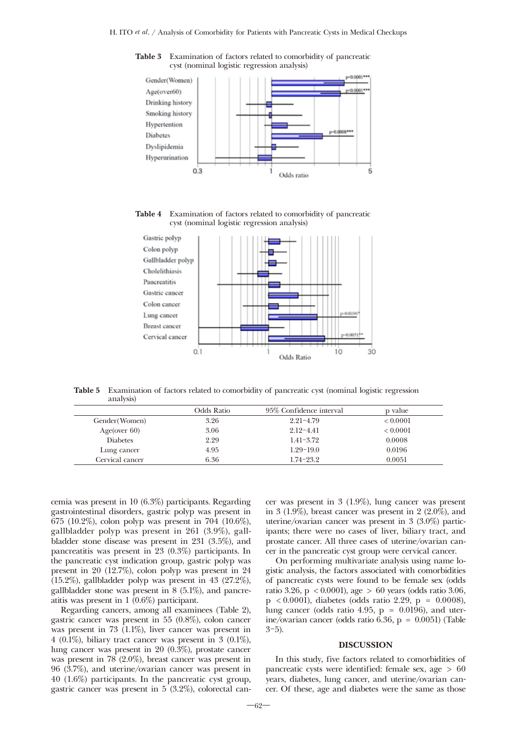

Table 3 Examination of factors related to comorbidity of pancreatic cyst (nominal logistic regression analysis)

Table 4 Examination of factors related to comorbidity of pancreatic cyst (nominal logistic regression analysis)



Table 5 Examination of factors related to comorbidity of pancreatic cyst (nominal logistic regression analysis)

|                 | Odds Ratio | 95% Confidence interval | p value  |
|-----------------|------------|-------------------------|----------|
| Gender (Women)  | 3.26       | $2.21 - 4.79$           | < 0.0001 |
| Age(over $60$ ) | 3.06       | $2.12 - 4.41$           | < 0.0001 |
| <b>Diabetes</b> | 2.29       | $1.41 - 3.72$           | 0.0008   |
| Lung cancer     | 4.95       | $1.29 - 19.0$           | 0.0196   |
| Cervical cancer | 6.36       | $1.74 - 23.2$           | 0.0051   |

cemia was present in 10 (6.3%) participants. Regarding gastrointestinal disorders, gastric polyp was present in 675 (10.2%), colon polyp was present in 704 (10.6%), gallbladder polyp was present in 261 (3.9%), gallbladder stone disease was present in 231 (3.5%), and pancreatitis was present in 23 (0.3%) participants. In the pancreatic cyst indication group, gastric polyp was present in 20 (12.7%), colon polyp was present in 24 (15.2%), gallbladder polyp was present in 43 (27.2%), gallbladder stone was present in 8 (5.1%), and pancreatitis was present in 1 (0.6%) participant.

Regarding cancers, among all examinees (Table 2), gastric cancer was present in 55 (0.8%), colon cancer was present in 73 (1.1%), liver cancer was present in 4 (0.1%), biliary tract cancer was present in 3 (0.1%), lung cancer was present in 20 (0.3%), prostate cancer was present in 78 (2.0%), breast cancer was present in 96 (3.7%), and uterine/ovarian cancer was present in 40 (1.6%) participants. In the pancreatic cyst group, gastric cancer was present in 5 (3.2%), colorectal cancer was present in 3 (1.9%), lung cancer was present in 3 (1.9%), breast cancer was present in 2 (2.0%), and uterine/ovarian cancer was present in 3 (3.0%) participants; there were no cases of liver, biliary tract, and prostate cancer. All three cases of uterine/ovarian cancer in the pancreatic cyst group were cervical cancer.

On performing multivariate analysis using name logistic analysis, the factors associated with comorbidities of pancreatic cysts were found to be female sex (odds ratio 3.26, p < 0.0001), age > 60 years (odds ratio 3.06, p < 0.0001), diabetes (odds ratio 2.29, p = 0.0008), lung cancer (odds ratio 4.95,  $p = 0.0196$ ), and uterine/ovarian cancer (odds ratio 6.36, p = 0.0051) (Table 3-5).

#### DISCUSSION

In this study, five factors related to comorbidities of pancreatic cysts were identified: female sex, age > 60 years, diabetes, lung cancer, and uterine/ovarian cancer. Of these, age and diabetes were the same as those